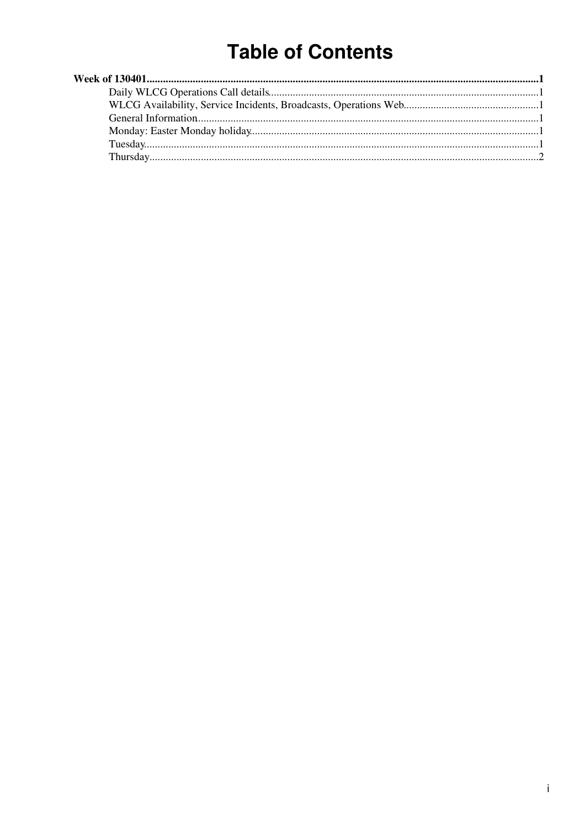# **Table of Contents**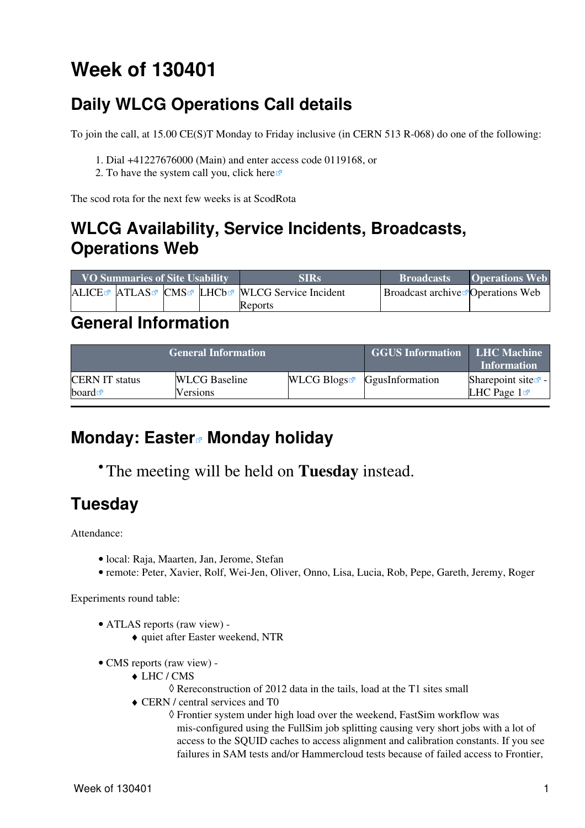# <span id="page-1-0"></span>**Week of 130401**

## <span id="page-1-1"></span>**Daily WLCG Operations Call details**

To join the call, at 15.00 CE(S)T Monday to Friday inclusive (in CERN 513 R-068) do one of the following:

- 1. Dial +41227676000 (Main) and enter access code 0119168, or
- 2. To have the system call you, click [here](https://audioconf.cern.ch/call/0119168) $\Phi$

The scod rota for the next few weeks is at [ScodRota](https://twiki.cern.ch/twiki/bin/view/LCG/ScodRota)

### <span id="page-1-2"></span>**WLCG Availability, Service Incidents, Broadcasts, Operations Web**

| <b>VO Summaries of Site Usability</b> |  |  | <b>SIRs</b>                                             | <b>Broadcasts</b>                             | <b>Operations Web</b> |
|---------------------------------------|--|--|---------------------------------------------------------|-----------------------------------------------|-----------------------|
|                                       |  |  | ALICE ATLAS CMS LHCb <sup>R</sup> WLCG Service Incident | Broadcast archive <sup>r</sup> Operations Web |                       |
|                                       |  |  | Reports                                                 |                                               |                       |

#### <span id="page-1-3"></span>**General Information**

|                       | <b>General Information</b> | <b>GGUS Information LHC Machine</b>       | <b>Information</b> |                                |
|-----------------------|----------------------------|-------------------------------------------|--------------------|--------------------------------|
| <b>CERN IT status</b> | <b>WLCG</b> Baseline       | WLCG Blogs $\blacksquare$ GgusInformation |                    | Sharepoint site $\mathbb{F}$ - |
| board $\blacksquare$  | Versions                   |                                           |                    | LHC Page $1\blacksquare$       |

#### <span id="page-1-4"></span>**Monday: [Easter](http://en.wikipedia.org/wiki/Easter_egg_%28media%29) Monday holiday**

The meeting will be held on **Tuesday** instead. •

## <span id="page-1-5"></span>**Tuesday**

Attendance:

- local: Raja, Maarten, Jan, Jerome, Stefan
- remote: Peter, Xavier, Rolf, Wei-Jen, Oliver, Onno, Lisa, Lucia, Rob, Pepe, Gareth, Jeremy, Roger

Experiments round table:

- ATLAS [reports](https://twiki.cern.ch/twiki/bin/view/Atlas/ADCOperationsDailyReports2013) [\(raw view\)](https://twiki.cern.ch/twiki/bin/view/Atlas/ADCOperationsDailyReports2013?raw=on) •
	- ♦ quiet after Easter weekend, NTR
- CMS [reports](https://twiki.cern.ch/twiki/bin/view/CMS/FacOps_WLCGdailyreports) ([raw view\)](https://twiki.cern.ch/twiki/bin/view/CMS/FacOps_WLCGdailyreports?raw=on) -
	- LHC / CMS ♦
		- $\Diamond$  Rereconstruction of 2012 data in the tails, load at the T1 sites small
	- CERN / central services and T0 ♦
		- Frontier system under high load over the weekend, [FastSim](https://twiki.cern.ch/twiki/bin/edit/LCG/FastSim?topicparent=LCG.WLCGDailyMeetingsWeek130401;nowysiwyg=1) workflow was ◊ mis-configured using the [FullSim](https://twiki.cern.ch/twiki/bin/edit/LCG/FullSim?topicparent=LCG.WLCGDailyMeetingsWeek130401;nowysiwyg=1) job splitting causing very short jobs with a lot of access to the SQUID caches to access alignment and calibration constants. If you see failures in SAM tests and/or Hammercloud tests because of failed access to Frontier,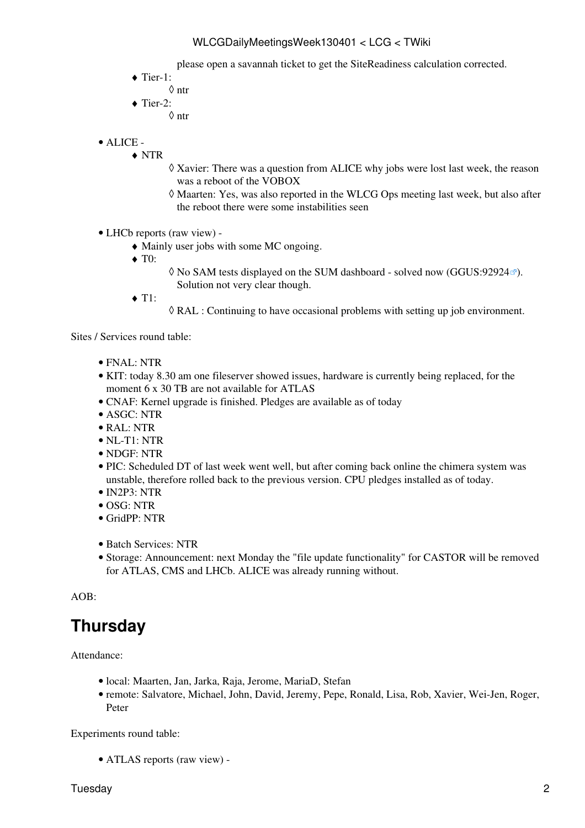#### WLCGDailyMeetingsWeek130401 < LCG < TWiki

please open a savannah ticket to get the [SiteReadiness](https://twiki.cern.ch/twiki/bin/edit/LCG/SiteReadiness?topicparent=LCG.WLCGDailyMeetingsWeek130401;nowysiwyg=1) calculation corrected.

- ◆ Tier-1:
	- ◊ ntr
- $\blacklozenge$  Tier-2:
	- ◊ ntr
- ALICE •
	- NTR ♦
		- Xavier: There was a question from ALICE why jobs were lost last week, the reason ◊ was a reboot of the VOBOX
		- Maarten: Yes, was also reported in the WLCG Ops meeting last week, but also after ◊ the reboot there were some instabilities seen
- LHCb [reports](https://twiki.cern.ch/twiki/bin/view/LHCb/ProductionOperationsWLCGdailyReports) [\(raw view\)](https://twiki.cern.ch/twiki/bin/view/LHCb/ProductionOperationsWLCGdailyReports?raw=on) •
	- ♦ Mainly user jobs with some MC ongoing.
	- ◆ T<sub>0</sub>:
- ◊ No SAM tests displayed on the SUM dashboard solved now ([GGUS:92924](https://ggus.eu/ws/ticket_info.php?ticket=92924)☞). Solution not very clear though.
- $\triangleleft$  T1:
- $\Diamond$  [RAL](https://twiki.cern.ch/twiki/bin/view/LCG/RAL) : Continuing to have occasional problems with setting up job environment.

Sites / Services round table:

- FNAL: NTR
- KIT: today 8.30 am one fileserver showed issues, hardware is currently being replaced, for the moment 6 x 30 TB are not available for ATLAS
- CNAF: Kernel upgrade is finished. Pledges are available as of today
- ASGC: NTR
- RAL: NTR
- NL-T1: NTR
- NDGF: NTR
- PIC: Scheduled DT of last week went well, but after coming back online the chimera system was unstable, therefore rolled back to the previous version. CPU pledges installed as of today.
- IN2P3: NTR
- OSG: NTR
- GridPP: NTR
- Batch Services: NTR
- Storage: Announcement: next Monday the "file update functionality" for CASTOR will be removed for ATLAS, CMS and LHCb. ALICE was already running without.

AOB:

### <span id="page-2-0"></span>**Thursday**

Attendance:

- local: Maarten, Jan, Jarka, Raja, Jerome, MariaD, Stefan
- remote: Salvatore, Michael, John, David, Jeremy, Pepe, Ronald, Lisa, Rob, Xavier, Wei-Jen, Roger, Peter

Experiments round table:

• ATLAS [reports](https://twiki.cern.ch/twiki/bin/view/Atlas/ADCOperationsDailyReports2013) [\(raw view\)](https://twiki.cern.ch/twiki/bin/view/Atlas/ADCOperationsDailyReports2013?raw=on) -